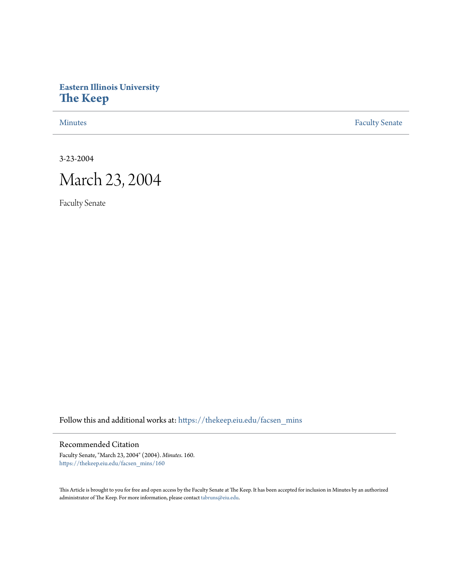## **Eastern Illinois University [The Keep](https://thekeep.eiu.edu?utm_source=thekeep.eiu.edu%2Ffacsen_mins%2F160&utm_medium=PDF&utm_campaign=PDFCoverPages)**

[Minutes](https://thekeep.eiu.edu/facsen_mins?utm_source=thekeep.eiu.edu%2Ffacsen_mins%2F160&utm_medium=PDF&utm_campaign=PDFCoverPages) **[Faculty Senate](https://thekeep.eiu.edu/fac_senate?utm_source=thekeep.eiu.edu%2Ffacsen_mins%2F160&utm_medium=PDF&utm_campaign=PDFCoverPages)** 

3-23-2004

# March 23, 2004

Faculty Senate

Follow this and additional works at: [https://thekeep.eiu.edu/facsen\\_mins](https://thekeep.eiu.edu/facsen_mins?utm_source=thekeep.eiu.edu%2Ffacsen_mins%2F160&utm_medium=PDF&utm_campaign=PDFCoverPages)

## Recommended Citation

Faculty Senate, "March 23, 2004" (2004). *Minutes*. 160. [https://thekeep.eiu.edu/facsen\\_mins/160](https://thekeep.eiu.edu/facsen_mins/160?utm_source=thekeep.eiu.edu%2Ffacsen_mins%2F160&utm_medium=PDF&utm_campaign=PDFCoverPages)

This Article is brought to you for free and open access by the Faculty Senate at The Keep. It has been accepted for inclusion in Minutes by an authorized administrator of The Keep. For more information, please contact [tabruns@eiu.edu.](mailto:tabruns@eiu.edu)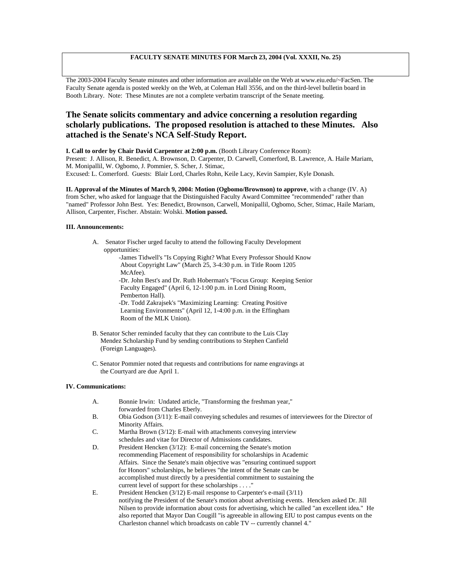### **FACULTY SENATE MINUTES FOR March 23, 2004 (Vol. XXXII, No. 25)**

The 2003-2004 Faculty Senate minutes and other information are available on the Web at www.eiu.edu/~FacSen. The Faculty Senate agenda is posted weekly on the Web, at Coleman Hall 3556, and on the third-level bulletin board in Booth Library. Note: These Minutes are not a complete verbatim transcript of the Senate meeting.

## **The Senate solicits commentary and advice concerning a resolution regarding scholarly publications. The proposed resolution is attached to these Minutes. Also attached is the Senate's NCA Self-Study Report.**

**I. Call to order by Chair David Carpenter at 2:00 p.m.** (Booth Library Conference Room):

Present: J. Allison, R. Benedict, A. Brownson, D. Carpenter, D. Carwell, Comerford, B. Lawrence, A. Haile Mariam, M. Monipallil, W. Ogbomo, J. Pommier, S. Scher, J. Stimac,

Excused: L. Comerford. Guests: Blair Lord, Charles Rohn, Keile Lacy, Kevin Sampier, Kyle Donash.

**II. Approval of the Minutes of March 9, 2004: Motion (Ogbomo/Brownson) to approve**, with a change (IV. A) from Scher, who asked for language that the Distinguished Faculty Award Committee "recommended" rather than "named" Professor John Best. Yes: Benedict, Brownson, Carwell, Monipallil, Ogbomo, Scher, Stimac, Haile Mariam, Allison, Carpenter, Fischer. Abstain: Wolski. **Motion passed.**

#### **III. Announcements:**

A. Senator Fischer urged faculty to attend the following Faculty Development opportunities:

> -James Tidwell's "Is Copying Right? What Every Professor Should Know About Copyright Law" (March 25, 3-4:30 p.m. in Title Room 1205 McAfee). -Dr. John Best's and Dr. Ruth Hoberman's "Focus Group: Keeping Senior Faculty Engaged" (April 6, 12-1:00 p.m. in Lord Dining Room,

 Pemberton Hall). -Dr. Todd Zakrajsek's "Maximizing Learning: Creating Positive

 Learning Environments" (April 12, 1-4:00 p.m. in the Effingham Room of the MLK Union).

- B. Senator Scher reminded faculty that they can contribute to the Luis Clay Mendez Scholarship Fund by sending contributions to Stephen Canfield (Foreign Languages).
- C. Senator Pommier noted that requests and contributions for name engravings at the Courtyard are due April 1.

#### **IV. Communications:**

- A. Bonnie Irwin: Undated article, "Transforming the freshman year," forwarded from Charles Eberly.
- B. Obia Godson (3/11): E-mail conveying schedules and resumes of interviewees for the Director of Minority Affairs.
- C. Martha Brown (3/12): E-mail with attachments conveying interview schedules and vitae for Director of Admissions candidates.
- D. President Hencken (3/12): E-mail concerning the Senate's motion recommending Placement of responsibility for scholarships in Academic Affairs. Since the Senate's main objective was "ensuring continued support for Honors" scholarships, he believes "the intent of the Senate can be accomplished must directly by a presidential commitment to sustaining the current level of support for these scholarships . . . ."
- E. President Hencken (3/12) E-mail response to Carpenter's e-mail (3/11) notifying the President of the Senate's motion about advertising events. Hencken asked Dr. Jill Nilsen to provide information about costs for advertising, which he called "an excellent idea." He also reported that Mayor Dan Cougill "is agreeable in allowing EIU to post campus events on the Charleston channel which broadcasts on cable TV -- currently channel 4."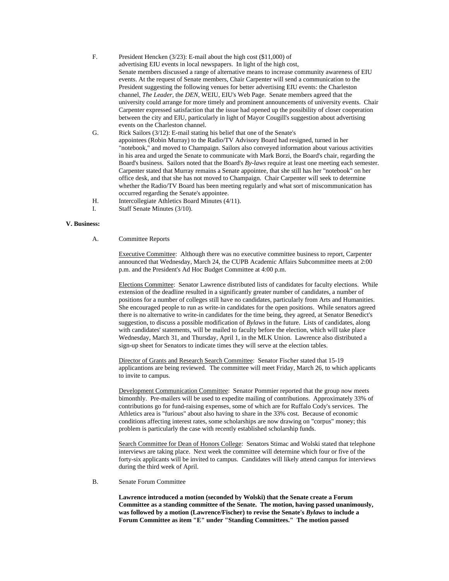F. President Hencken (3/23): E-mail about the high cost (\$11,000) of advertising EIU events in local newspapers. In light of the high cost, Senate members discussed a range of alternative means to increase community awareness of EIU events. At the request of Senate members, Chair Carpenter will send a communication to the President suggesting the following venues for better advertising EIU events: the Charleston channel, *The Leader*, the *DEN*, WEIU, EIU's Web Page. Senate members agreed that the university could arrange for more timely and prominent announcements of university events. Chair Carpenter expressed satisfaction that the issue had opened up the possibility of closer cooperation between the city and EIU, particularly in light of Mayor Cougill's suggestion about advertising events on the Charleston channel. G. Rick Sailors (3/12): E-mail stating his belief that one of the Senate's appointees (Robin Murray) to the Radio/TV Advisory Board had resigned, turned in her "notebook," and moved to Champaign. Sailors also conveyed information about various activities in his area and urged the Senate to communicate with Mark Borzi, the Board's chair, regarding the

Board's business. Sailors noted that the Board's *By-laws* require at least one meeting each semester. Carpenter stated that Murray remains a Senate appointee, that she still has her "notebook" on her office desk, and that she has not moved to Champaign. Chair Carpenter will seek to determine whether the Radio/TV Board has been meeting regularly and what sort of miscommunication has occurred regarding the Senate's appointee.

- H. Intercollegiate Athletics Board Minutes (4/11).
- I. Staff Senate Minutes (3/10).

#### **V. Business:**

A. Committee Reports

Executive Committee: Although there was no executive committee business to report, Carpenter announced that Wednesday, March 24, the CUPB Academic Affairs Subcommittee meets at 2:00 p.m. and the President's Ad Hoc Budget Committee at 4:00 p.m.

Elections Committee: Senator Lawrence distributed lists of candidates for faculty elections. While extension of the deadline resulted in a significantly greater number of candidates, a number of positions for a number of colleges still have no candidates, particularly from Arts and Humanities. She encouraged people to run as write-in candidates for the open positions. While senators agreed there is no alternative to write-in candidates for the time being, they agreed, at Senator Benedict's suggestion, to discuss a possible modification of *Bylaws* in the future. Lists of candidates, along with candidates' statements, will be mailed to faculty before the election, which will take place Wednesday, March 31, and Thursday, April 1, in the MLK Union. Lawrence also distributed a sign-up sheet for Senators to indicate times they will serve at the election tables.

Director of Grants and Research Search Committee: Senator Fischer stated that 15-19 applicantions are being reviewed. The committee will meet Friday, March 26, to which applicants to invite to campus.

Development Communication Committee: Senator Pommier reported that the group now meets bimonthly. Pre-mailers will be used to expedite mailing of contributions. Approximately 33% of contributions go for fund-raising expenses, some of which are for Ruffalo Cody's services. The Athletics area is "furious" about also having to share in the 33% cost. Because of economic conditions affecting interest rates, some scholarships are now drawing on "corpus" money; this problem is particularly the case with recently established scholarship funds.

Search Committee for Dean of Honors College: Senators Stimac and Wolski stated that telephone interviews are taking place. Next week the committee will determine which four or five of the forty-six applicants will be invited to campus. Candidates will likely attend campus for interviews during the third week of April.

B. Senate Forum Committee

**Lawrence introduced a motion (seconded by Wolski) that the Senate create a Forum Committee as a standing committee of the Senate. The motion, having passed unanimously, was followed by a motion (Lawrence/Fischer) to revise the Senate's** *Bylaws* **to include a Forum Committee as item "E" under "Standing Committees." The motion passed**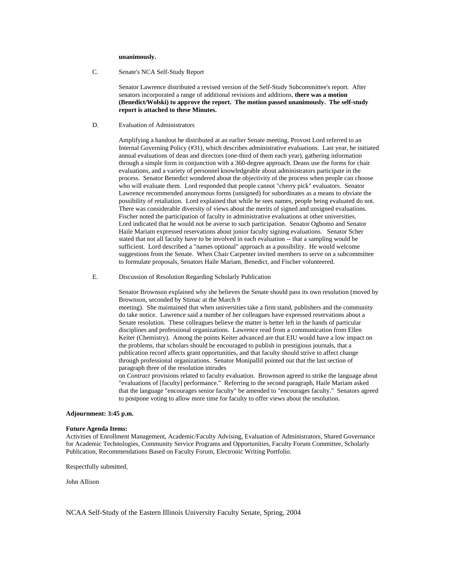#### **unanimously.**

C. Senate's NCA Self-Study Report

Senator Lawrence distributed a revised version of the Self-Study Subcommittee's report. After senators incorporated a range of additional revisions and additions, **there was a motion (Benedict/Wolski) to approve the report. The motion passed unanimously. The self-study report is attached to these Minutes.**

D. Evaluation of Administrators

Amplifying a handout he distributed at an earlier Senate meeting, Provost Lord referred to an Internal Governing Policy (#31), which describes administrative evaluations. Last year, he initiated annual evaluations of dean and directors (one-third of them each year), gathering information through a simple form in conjunction with a 360-degree approach. Deans use the forms for chair evaluations, and a variety of personnel knowledgeable about administrators participate in the process. Senator Benedict wondered about the objectivity of the process when people can choose who will evaluate them. Lord responded that people cannot "cherry pick" evaluators. Senator Lawrence recommended anonymous forms (unsigned) for subordinates as a means to obviate the possibility of retaliation. Lord explained that while he sees names, people being evaluated do not. There was considerable diversity of views about the merits of signed and unsigned evaluations. Fischer noted the participation of faculty in administrative evaluations at other universities. Lord indicated that he would not be averse to such participation. Senator Ogbomo and Senator Haile Mariam expressed reservations about junior faculty signing evaluations. Senator Scher stated that not all faculty have to be involved in each evaluation -- that a sampling would be sufficient. Lord described a "names optional" approach as a possibility. He would welcome suggestions from the Senate. When Chair Carpenter invited members to serve on a subcommittee to formulate proposals, Senators Haile Mariam, Benedict, and Fischer volunteered.

E. Discussion of Resolution Regarding Scholarly Publication

Senator Brownson explained why she believes the Senate should pass its own resolution (moved by Brownson, seconded by Stimac at the March 9

meeting). She maintained that when universities take a firm stand, publishers and the community do take notice. Lawrence said a number of her colleagues have expressed reservations about a Senate resolution. These colleagues believe the matter is better left in the hands of particular disciplines and professional organizations. Lawrence read from a communication from Ellen Keiter (Chemistry). Among the points Keiter advanced are that EIU would have a low impact on the problems, that scholars should be encouraged to publish in prestigious journals, that a publication record affects grant opportunities, and that faculty should strive to affect change through professional organizations. Senator Monipallil pointed out that the last section of paragraph three of the resolution intrudes

on *Contract* provisions related to faculty evaluation. Brownson agreed to strike the language about "evaluations of [faculty] performance." Referring to the second paragraph, Haile Mariam asked that the language "encourages senior faculty" be amended to "encourages faculty." Senators agreed to postpone voting to allow more time for faculty to offer views about the resolution.

#### **Adjournment: 3:45 p.m.**

#### **Future Agenda Items:**

Activities of Enrollment Management, Academic/Faculty Advising, Evaluation of Administrators, Shared Governance for Academic Technologies, Community Service Programs and Opportunities, Faculty Forum Committee, Scholarly Publication, Recommendations Based on Faculty Forum, Electronic Writing Portfolio.

Respectfully submitted,

John Allison

NCAA Self-Study of the Eastern Illinois University Faculty Senate, Spring, 2004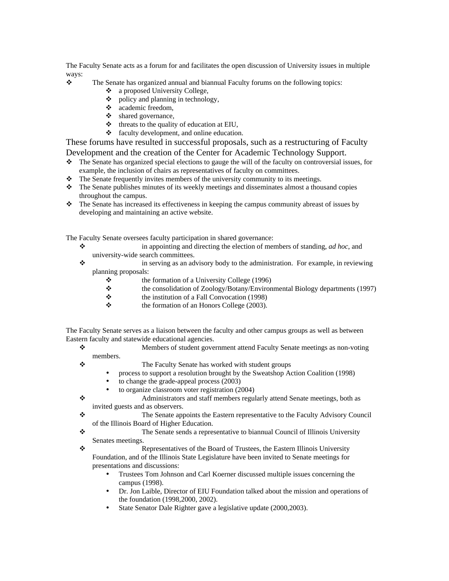The Faculty Senate acts as a forum for and facilitates the open discussion of University issues in multiple ways:

- \* The Senate has organized annual and biannual Faculty forums on the following topics:
	- ❖ a proposed University College,
	- $\bullet$  policy and planning in technology,
	- academic freedom,
	- $\bullet$  shared governance,
	- $\triangleleft$  threats to the quality of education at EIU,
	- faculty development, and online education.

These forums have resulted in successful proposals, such as a restructuring of Faculty Development and the creation of the Center for Academic Technology Support.

- $\bullet$  The Senate has organized special elections to gauge the will of the faculty on controversial issues, for example, the inclusion of chairs as representatives of faculty on committees.
- $\bullet$  The Senate frequently invites members of the university community to its meetings.
- \* The Senate publishes minutes of its weekly meetings and disseminates almost a thousand copies throughout the campus.
- The Senate has increased its effectiveness in keeping the campus community abreast of issues by developing and maintaining an active website.

The Faculty Senate oversees faculty participation in shared governance:

- in appointing and directing the election of members of standing, *ad hoc*, and university-wide search committees.
- $\bullet$  in serving as an advisory body to the administration. For example, in reviewing planning proposals:
	- $\triangle$  the formation of a University College (1996)
	- the consolidation of Zoology/Botany/Environmental Biology departments (1997)
	- $\triangle$  the institution of a Fall Convocation (1998)
	- $\triangle$  the formation of an Honors College (2003).

The Faculty Senate serves as a liaison between the faculty and other campus groups as well as between Eastern faculty and statewide educational agencies.

- Members of student government attend Faculty Senate meetings as non-voting members.
- 
- The Faculty Senate has worked with student groups
	- process to support a resolution brought by the Sweatshop Action Coalition (1998)
	- to change the grade-appeal process (2003)
	- to organize classroom voter registration (2004)
- Administrators and staff members regularly attend Senate meetings, both as invited guests and as observers.
- \* The Senate appoints the Eastern representative to the Faculty Advisory Council of the Illinois Board of Higher Education.
- The Senate sends a representative to biannual Council of Illinois University Senates meetings.

 Representatives of the Board of Trustees, the Eastern Illinois University Foundation, and of the Illinois State Legislature have been invited to Senate meetings for presentations and discussions:

- Trustees Tom Johnson and Carl Koerner discussed multiple issues concerning the campus (1998).
- Dr. Jon Laible, Director of EIU Foundation talked about the mission and operations of the foundation (1998,2000, 2002).
- State Senator Dale Righter gave a legislative update (2000,2003).